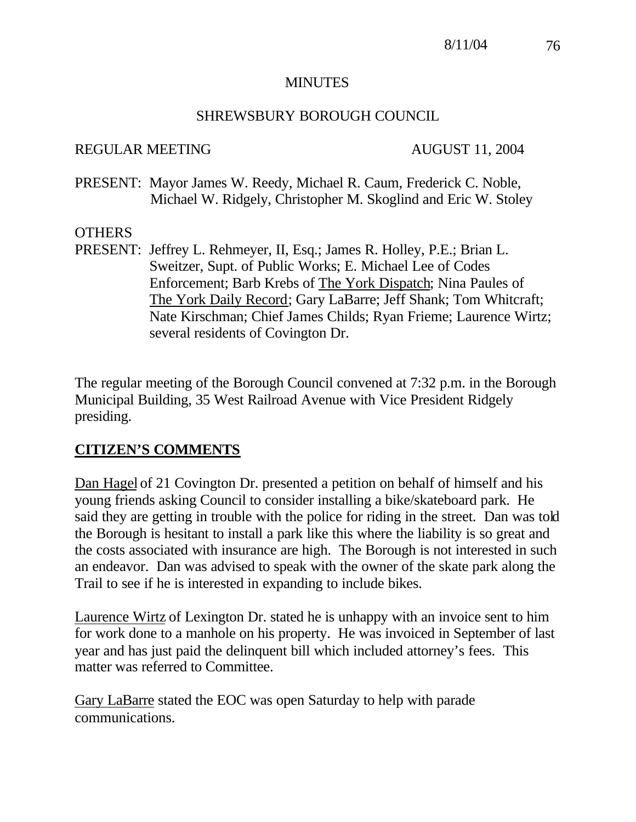#### MINUTES

### SHREWSBURY BOROUGH COUNCIL

#### REGULAR MEETING AUGUST 11, 2004

PRESENT: Mayor James W. Reedy, Michael R. Caum, Frederick C. Noble, Michael W. Ridgely, Christopher M. Skoglind and Eric W. Stoley

### OTHERS

PRESENT: Jeffrey L. Rehmeyer, II, Esq.; James R. Holley, P.E.; Brian L. Sweitzer, Supt. of Public Works; E. Michael Lee of Codes Enforcement; Barb Krebs of The York Dispatch; Nina Paules of The York Daily Record; Gary LaBarre; Jeff Shank; Tom Whitcraft; Nate Kirschman; Chief James Childs; Ryan Frieme; Laurence Wirtz; several residents of Covington Dr.

The regular meeting of the Borough Council convened at 7:32 p.m. in the Borough Municipal Building, 35 West Railroad Avenue with Vice President Ridgely presiding.

## **CITIZEN'S COMMENTS**

Dan Hagel of 21 Covington Dr. presented a petition on behalf of himself and his young friends asking Council to consider installing a bike/skateboard park. He said they are getting in trouble with the police for riding in the street. Dan was told the Borough is hesitant to install a park like this where the liability is so great and the costs associated with insurance are high. The Borough is not interested in such an endeavor. Dan was advised to speak with the owner of the skate park along the Trail to see if he is interested in expanding to include bikes.

Laurence Wirtz of Lexington Dr. stated he is unhappy with an invoice sent to him for work done to a manhole on his property. He was invoiced in September of last year and has just paid the delinquent bill which included attorney's fees. This matter was referred to Committee.

Gary LaBarre stated the EOC was open Saturday to help with parade communications.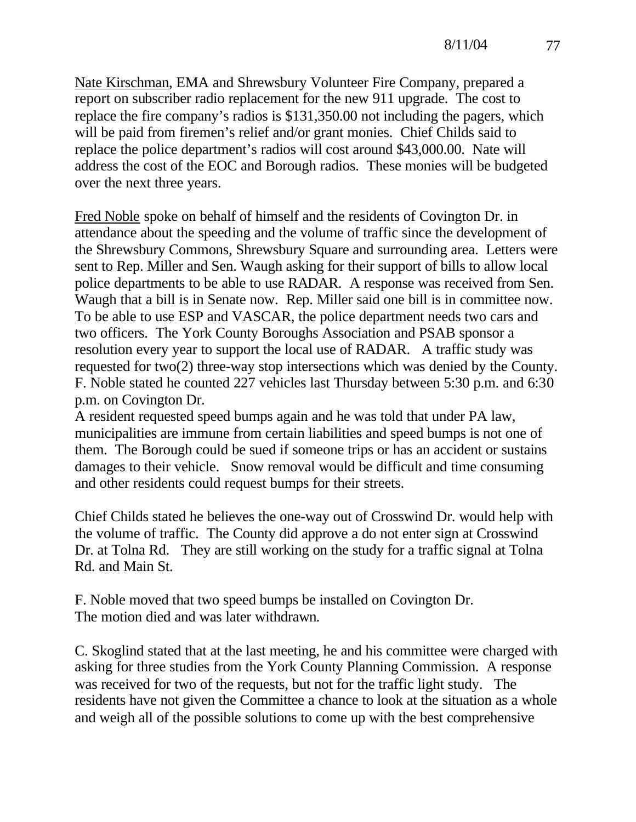Nate Kirschman, EMA and Shrewsbury Volunteer Fire Company, prepared a report on subscriber radio replacement for the new 911 upgrade. The cost to replace the fire company's radios is \$131,350.00 not including the pagers, which will be paid from firemen's relief and/or grant monies. Chief Childs said to replace the police department's radios will cost around \$43,000.00. Nate will address the cost of the EOC and Borough radios. These monies will be budgeted over the next three years.

Fred Noble spoke on behalf of himself and the residents of Covington Dr. in attendance about the speeding and the volume of traffic since the development of the Shrewsbury Commons, Shrewsbury Square and surrounding area. Letters were sent to Rep. Miller and Sen. Waugh asking for their support of bills to allow local police departments to be able to use RADAR. A response was received from Sen. Waugh that a bill is in Senate now. Rep. Miller said one bill is in committee now. To be able to use ESP and VASCAR, the police department needs two cars and two officers. The York County Boroughs Association and PSAB sponsor a resolution every year to support the local use of RADAR. A traffic study was requested for two(2) three-way stop intersections which was denied by the County. F. Noble stated he counted 227 vehicles last Thursday between 5:30 p.m. and 6:30 p.m. on Covington Dr.

A resident requested speed bumps again and he was told that under PA law, municipalities are immune from certain liabilities and speed bumps is not one of them. The Borough could be sued if someone trips or has an accident or sustains damages to their vehicle. Snow removal would be difficult and time consuming and other residents could request bumps for their streets.

Chief Childs stated he believes the one-way out of Crosswind Dr. would help with the volume of traffic. The County did approve a do not enter sign at Crosswind Dr. at Tolna Rd. They are still working on the study for a traffic signal at Tolna Rd. and Main St.

F. Noble moved that two speed bumps be installed on Covington Dr. The motion died and was later withdrawn.

C. Skoglind stated that at the last meeting, he and his committee were charged with asking for three studies from the York County Planning Commission. A response was received for two of the requests, but not for the traffic light study. The residents have not given the Committee a chance to look at the situation as a whole and weigh all of the possible solutions to come up with the best comprehensive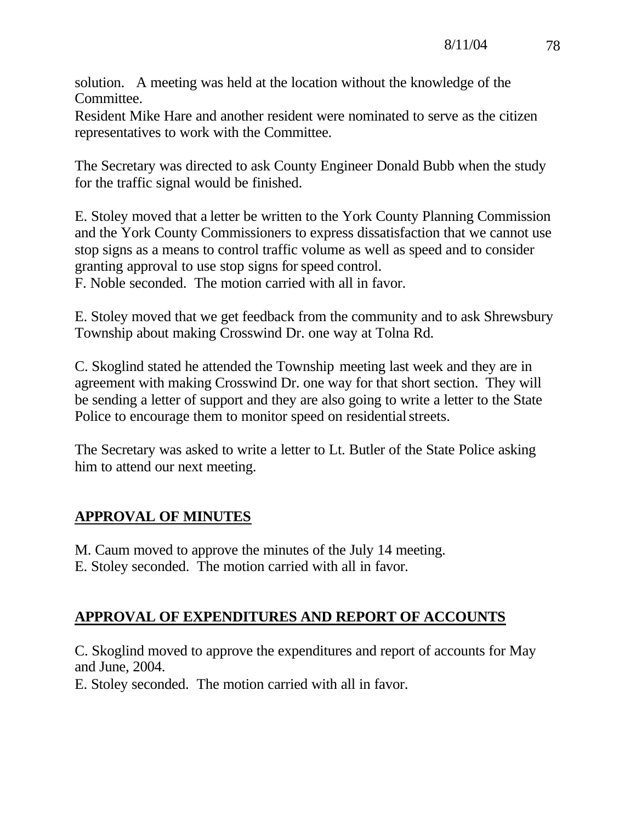solution. A meeting was held at the location without the knowledge of the Committee.

Resident Mike Hare and another resident were nominated to serve as the citizen representatives to work with the Committee.

The Secretary was directed to ask County Engineer Donald Bubb when the study for the traffic signal would be finished.

E. Stoley moved that a letter be written to the York County Planning Commission and the York County Commissioners to express dissatisfaction that we cannot use stop signs as a means to control traffic volume as well as speed and to consider granting approval to use stop signs for speed control. F. Noble seconded. The motion carried with all in favor.

E. Stoley moved that we get feedback from the community and to ask Shrewsbury Township about making Crosswind Dr. one way at Tolna Rd.

C. Skoglind stated he attended the Township meeting last week and they are in agreement with making Crosswind Dr. one way for that short section. They will be sending a letter of support and they are also going to write a letter to the State Police to encourage them to monitor speed on residential streets.

The Secretary was asked to write a letter to Lt. Butler of the State Police asking him to attend our next meeting.

# **APPROVAL OF MINUTES**

M. Caum moved to approve the minutes of the July 14 meeting. E. Stoley seconded. The motion carried with all in favor.

## **APPROVAL OF EXPENDITURES AND REPORT OF ACCOUNTS**

C. Skoglind moved to approve the expenditures and report of accounts for May and June, 2004.

E. Stoley seconded. The motion carried with all in favor.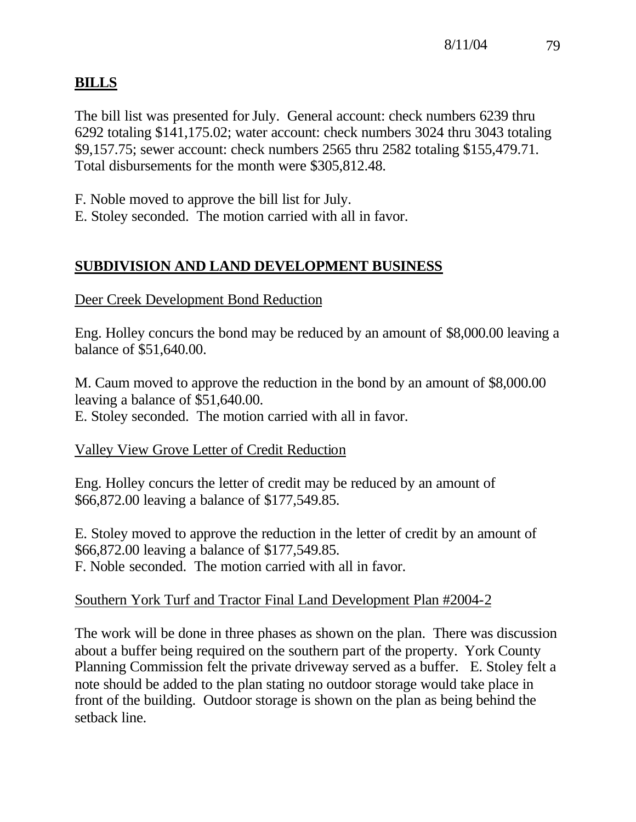# **BILLS**

The bill list was presented for July. General account: check numbers 6239 thru 6292 totaling \$141,175.02; water account: check numbers 3024 thru 3043 totaling \$9,157.75; sewer account: check numbers 2565 thru 2582 totaling \$155,479.71. Total disbursements for the month were \$305,812.48.

F. Noble moved to approve the bill list for July.

E. Stoley seconded. The motion carried with all in favor.

# **SUBDIVISION AND LAND DEVELOPMENT BUSINESS**

Deer Creek Development Bond Reduction

Eng. Holley concurs the bond may be reduced by an amount of \$8,000.00 leaving a balance of \$51,640.00.

M. Caum moved to approve the reduction in the bond by an amount of \$8,000.00 leaving a balance of \$51,640.00.

E. Stoley seconded. The motion carried with all in favor.

# Valley View Grove Letter of Credit Reduction

Eng. Holley concurs the letter of credit may be reduced by an amount of \$66,872.00 leaving a balance of \$177,549.85.

E. Stoley moved to approve the reduction in the letter of credit by an amount of \$66,872.00 leaving a balance of \$177,549.85. F. Noble seconded. The motion carried with all in favor.

## Southern York Turf and Tractor Final Land Development Plan #2004-2

The work will be done in three phases as shown on the plan. There was discussion about a buffer being required on the southern part of the property. York County Planning Commission felt the private driveway served as a buffer. E. Stoley felt a note should be added to the plan stating no outdoor storage would take place in front of the building. Outdoor storage is shown on the plan as being behind the setback line.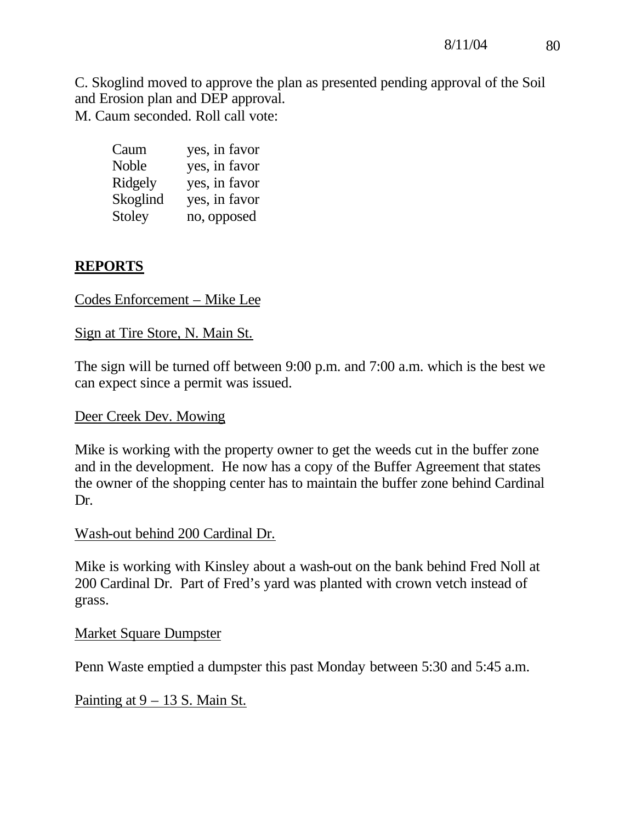C. Skoglind moved to approve the plan as presented pending approval of the Soil and Erosion plan and DEP approval. M. Caum seconded. Roll call vote:

| Caum     | yes, in favor |
|----------|---------------|
| Noble    | yes, in favor |
| Ridgely  | yes, in favor |
| Skoglind | yes, in favor |
| Stoley   | no, opposed   |

## **REPORTS**

### Codes Enforcement – Mike Lee

### Sign at Tire Store, N. Main St.

The sign will be turned off between 9:00 p.m. and 7:00 a.m. which is the best we can expect since a permit was issued.

### Deer Creek Dev. Mowing

Mike is working with the property owner to get the weeds cut in the buffer zone and in the development. He now has a copy of the Buffer Agreement that states the owner of the shopping center has to maintain the buffer zone behind Cardinal Dr.

### Wash-out behind 200 Cardinal Dr.

Mike is working with Kinsley about a wash-out on the bank behind Fred Noll at 200 Cardinal Dr. Part of Fred's yard was planted with crown vetch instead of grass.

### Market Square Dumpster

Penn Waste emptied a dumpster this past Monday between 5:30 and 5:45 a.m.

Painting at  $9 - 13$  S. Main St.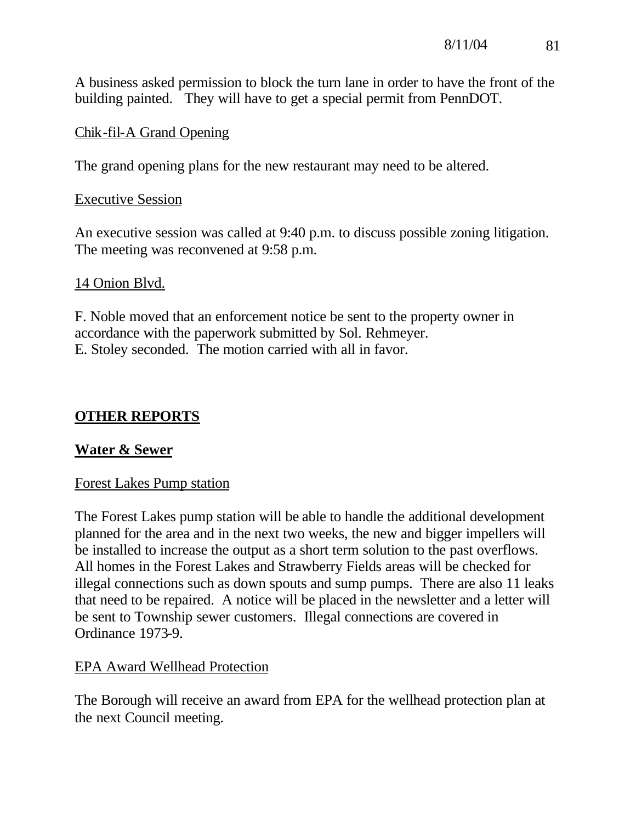A business asked permission to block the turn lane in order to have the front of the building painted. They will have to get a special permit from PennDOT.

## Chik-fil-A Grand Opening

The grand opening plans for the new restaurant may need to be altered.

## Executive Session

An executive session was called at 9:40 p.m. to discuss possible zoning litigation. The meeting was reconvened at 9:58 p.m.

## 14 Onion Blvd.

F. Noble moved that an enforcement notice be sent to the property owner in accordance with the paperwork submitted by Sol. Rehmeyer. E. Stoley seconded. The motion carried with all in favor.

# **OTHER REPORTS**

# **Water & Sewer**

## Forest Lakes Pump station

The Forest Lakes pump station will be able to handle the additional development planned for the area and in the next two weeks, the new and bigger impellers will be installed to increase the output as a short term solution to the past overflows. All homes in the Forest Lakes and Strawberry Fields areas will be checked for illegal connections such as down spouts and sump pumps. There are also 11 leaks that need to be repaired. A notice will be placed in the newsletter and a letter will be sent to Township sewer customers. Illegal connections are covered in Ordinance 1973-9.

## EPA Award Wellhead Protection

The Borough will receive an award from EPA for the wellhead protection plan at the next Council meeting.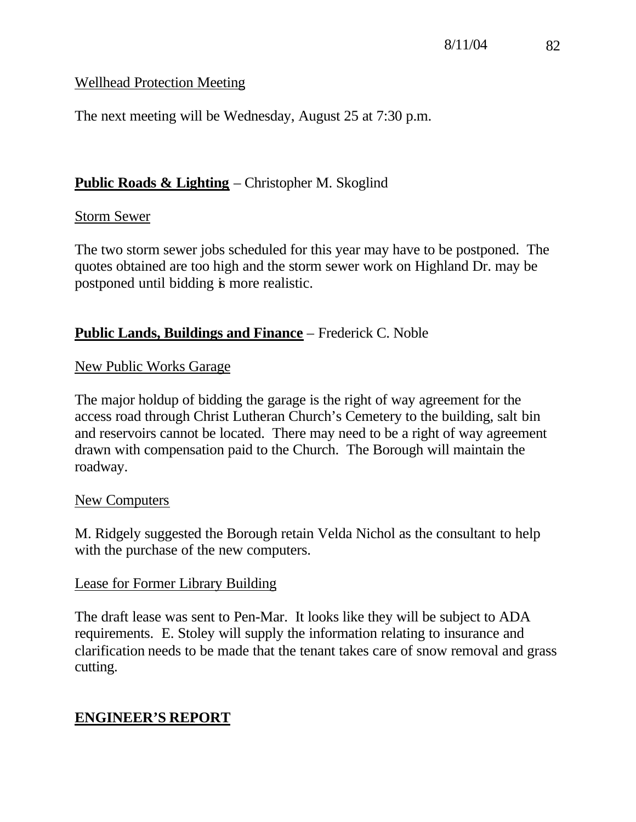## Wellhead Protection Meeting

The next meeting will be Wednesday, August 25 at 7:30 p.m.

## **Public Roads & Lighting** – Christopher M. Skoglind

### Storm Sewer

The two storm sewer jobs scheduled for this year may have to be postponed. The quotes obtained are too high and the storm sewer work on Highland Dr. may be postponed until bidding is more realistic.

## **Public Lands, Buildings and Finance** – Frederick C. Noble

## New Public Works Garage

The major holdup of bidding the garage is the right of way agreement for the access road through Christ Lutheran Church's Cemetery to the building, salt bin and reservoirs cannot be located. There may need to be a right of way agreement drawn with compensation paid to the Church. The Borough will maintain the roadway.

### New Computers

M. Ridgely suggested the Borough retain Velda Nichol as the consultant to help with the purchase of the new computers.

## Lease for Former Library Building

The draft lease was sent to Pen-Mar. It looks like they will be subject to ADA requirements. E. Stoley will supply the information relating to insurance and clarification needs to be made that the tenant takes care of snow removal and grass cutting.

# **ENGINEER'S REPORT**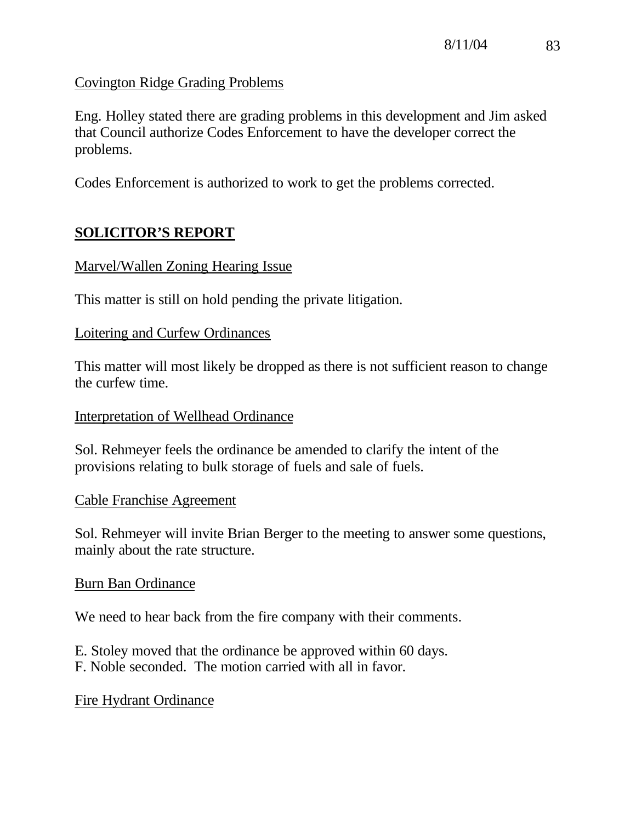Covington Ridge Grading Problems

Eng. Holley stated there are grading problems in this development and Jim asked that Council authorize Codes Enforcement to have the developer correct the problems.

Codes Enforcement is authorized to work to get the problems corrected.

# **SOLICITOR'S REPORT**

### Marvel/Wallen Zoning Hearing Issue

This matter is still on hold pending the private litigation.

### Loitering and Curfew Ordinances

This matter will most likely be dropped as there is not sufficient reason to change the curfew time.

### Interpretation of Wellhead Ordinance

Sol. Rehmeyer feels the ordinance be amended to clarify the intent of the provisions relating to bulk storage of fuels and sale of fuels.

### Cable Franchise Agreement

Sol. Rehmeyer will invite Brian Berger to the meeting to answer some questions, mainly about the rate structure.

## Burn Ban Ordinance

We need to hear back from the fire company with their comments.

E. Stoley moved that the ordinance be approved within 60 days. F. Noble seconded. The motion carried with all in favor.

Fire Hydrant Ordinance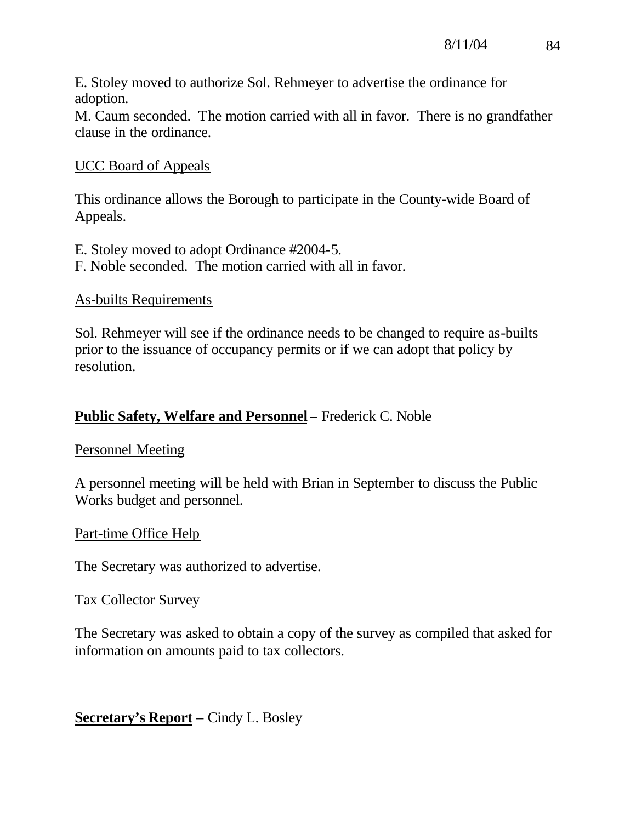E. Stoley moved to authorize Sol. Rehmeyer to advertise the ordinance for adoption.

M. Caum seconded. The motion carried with all in favor. There is no grandfather clause in the ordinance.

### UCC Board of Appeals

This ordinance allows the Borough to participate in the County-wide Board of Appeals.

E. Stoley moved to adopt Ordinance #2004-5. F. Noble seconded. The motion carried with all in favor.

#### As-builts Requirements

Sol. Rehmeyer will see if the ordinance needs to be changed to require as-builts prior to the issuance of occupancy permits or if we can adopt that policy by resolution.

## **Public Safety, Welfare and Personnel** – Frederick C. Noble

### Personnel Meeting

A personnel meeting will be held with Brian in September to discuss the Public Works budget and personnel.

### Part-time Office Help

The Secretary was authorized to advertise.

### Tax Collector Survey

The Secretary was asked to obtain a copy of the survey as compiled that asked for information on amounts paid to tax collectors.

**Secretary's Report** – Cindy L. Bosley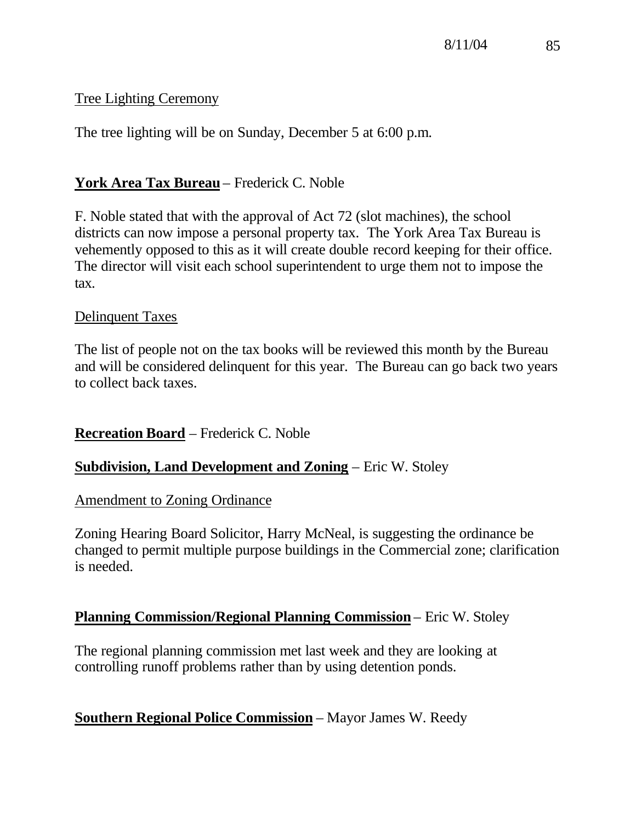## Tree Lighting Ceremony

The tree lighting will be on Sunday, December 5 at 6:00 p.m.

## **York Area Tax Bureau** – Frederick C. Noble

F. Noble stated that with the approval of Act 72 (slot machines), the school districts can now impose a personal property tax. The York Area Tax Bureau is vehemently opposed to this as it will create double record keeping for their office. The director will visit each school superintendent to urge them not to impose the tax.

### Delinquent Taxes

The list of people not on the tax books will be reviewed this month by the Bureau and will be considered delinquent for this year. The Bureau can go back two years to collect back taxes.

## **Recreation Board** – Frederick C. Noble

## **Subdivision, Land Development and Zoning** – Eric W. Stoley

### Amendment to Zoning Ordinance

Zoning Hearing Board Solicitor, Harry McNeal, is suggesting the ordinance be changed to permit multiple purpose buildings in the Commercial zone; clarification is needed.

### **Planning Commission/Regional Planning Commission** – Eric W. Stoley

The regional planning commission met last week and they are looking at controlling runoff problems rather than by using detention ponds.

## **Southern Regional Police Commission** – Mayor James W. Reedy